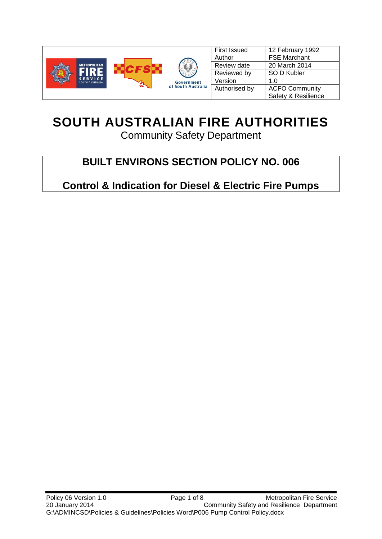

# **SOUTH AUSTRALIAN FIRE AUTHORITIES**

Community Safety Department

# **BUILT ENVIRONS SECTION POLICY NO. 006**

**Control & Indication for Diesel & Electric Fire Pumps**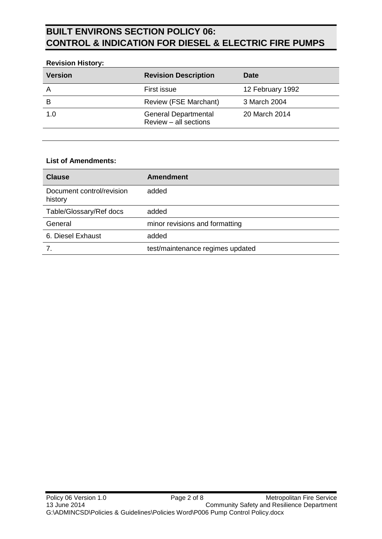#### **Revision History:**

| <b>Version</b> | <b>Revision Description</b>                          | Date             |
|----------------|------------------------------------------------------|------------------|
|                | First issue                                          | 12 February 1992 |
| В              | Review (FSE Marchant)                                | 3 March 2004     |
| 1.0            | <b>General Departmental</b><br>Review - all sections | 20 March 2014    |

#### **List of Amendments:**

| <b>Clause</b>                        | <b>Amendment</b>                 |
|--------------------------------------|----------------------------------|
| Document control/revision<br>history | added                            |
| Table/Glossary/Ref docs              | added                            |
| General                              | minor revisions and formatting   |
| 6. Diesel Exhaust                    | added                            |
|                                      | test/maintenance regimes updated |
|                                      |                                  |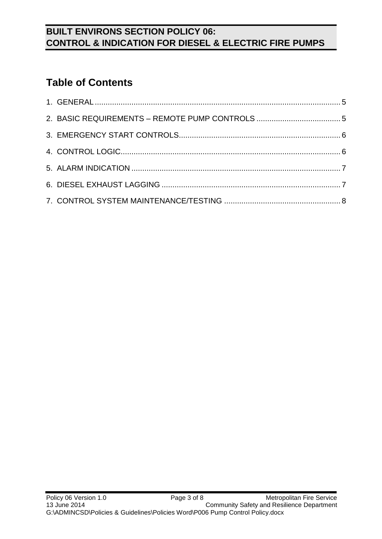## **Table of Contents**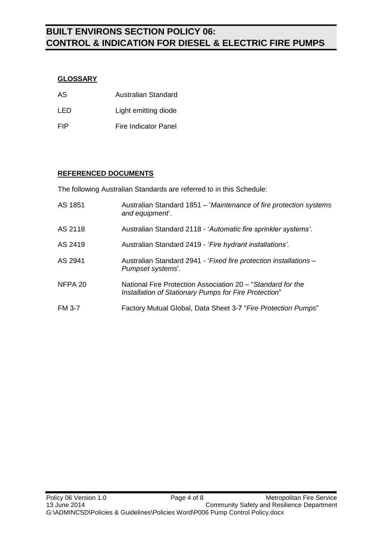#### **GLOSSARY**

| AS         | Australian Standard  |
|------------|----------------------|
| I FD.      | Light emitting diode |
| <b>FIP</b> | Fire Indicator Panel |

#### **REFERENCED DOCUMENTS**

The following Australian Standards are referred to in this Schedule:

| AS 1851 | Australian Standard 1851 – 'Maintenance of fire protection systems<br>and equipment.                                 |
|---------|----------------------------------------------------------------------------------------------------------------------|
| AS 2118 | Australian Standard 2118 - 'Automatic fire sprinkler systems'.                                                       |
| AS 2419 | Australian Standard 2419 - 'Fire hydrant installations'.                                                             |
| AS 2941 | Australian Standard 2941 - 'Fixed fire protection installations -<br>Pumpset systems'.                               |
| NFPA 20 | National Fire Protection Association 20 – "Standard for the<br>Installation of Stationary Pumps for Fire Protection" |
| FM 3-7  | Factory Mutual Global, Data Sheet 3-7 "Fire Protection Pumps"                                                        |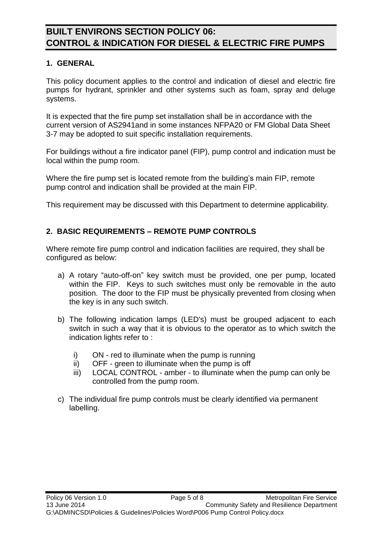#### <span id="page-4-0"></span>**1. GENERAL**

This policy document applies to the control and indication of diesel and electric fire pumps for hydrant, sprinkler and other systems such as foam, spray and deluge systems.

It is expected that the fire pump set installation shall be in accordance with the current version of AS2941and in some instances NFPA20 or FM Global Data Sheet 3-7 may be adopted to suit specific installation requirements.

For buildings without a fire indicator panel (FIP), pump control and indication must be local within the pump room.

Where the fire pump set is located remote from the building's main FIP, remote pump control and indication shall be provided at the main FIP.

This requirement may be discussed with this Department to determine applicability.

#### <span id="page-4-1"></span>**2. BASIC REQUIREMENTS – REMOTE PUMP CONTROLS**

Where remote fire pump control and indication facilities are required, they shall be configured as below:

- a) A rotary "auto-off-on" key switch must be provided, one per pump, located within the FIP. Keys to such switches must only be removable in the auto position. The door to the FIP must be physically prevented from closing when the key is in any such switch.
- b) The following indication lamps (LED's) must be grouped adjacent to each switch in such a way that it is obvious to the operator as to which switch the indication lights refer to :
	- i) ON red to illuminate when the pump is running
	- ii) OFF green to illuminate when the pump is off
	- iii) LOCAL CONTROL amber to illuminate when the pump can only be controlled from the pump room.
- c) The individual fire pump controls must be clearly identified via permanent labelling.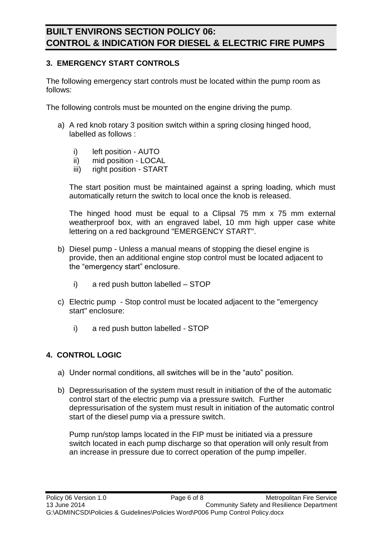#### <span id="page-5-0"></span>**3. EMERGENCY START CONTROLS**

The following emergency start controls must be located within the pump room as follows:

The following controls must be mounted on the engine driving the pump.

- a) A red knob rotary 3 position switch within a spring closing hinged hood, labelled as follows :
	- i) left position AUTO
	- ii) mid position LOCAL
	- iii) right position START

The start position must be maintained against a spring loading, which must automatically return the switch to local once the knob is released.

The hinged hood must be equal to a Clipsal 75 mm x 75 mm external weatherproof box, with an engraved label, 10 mm high upper case white lettering on a red background "EMERGENCY START".

- b) Diesel pump Unless a manual means of stopping the diesel engine is provide, then an additional engine stop control must be located adjacent to the "emergency start" enclosure.
	- i) a red push button labelled STOP
- c) Electric pump Stop control must be located adjacent to the "emergency start" enclosure:
	- i) a red push button labelled STOP

#### <span id="page-5-1"></span>**4. CONTROL LOGIC**

- a) Under normal conditions, all switches will be in the "auto" position.
- b) Depressurisation of the system must result in initiation of the of the automatic control start of the electric pump via a pressure switch. Further depressurisation of the system must result in initiation of the automatic control start of the diesel pump via a pressure switch.

Pump run/stop lamps located in the FIP must be initiated via a pressure switch located in each pump discharge so that operation will only result from an increase in pressure due to correct operation of the pump impeller.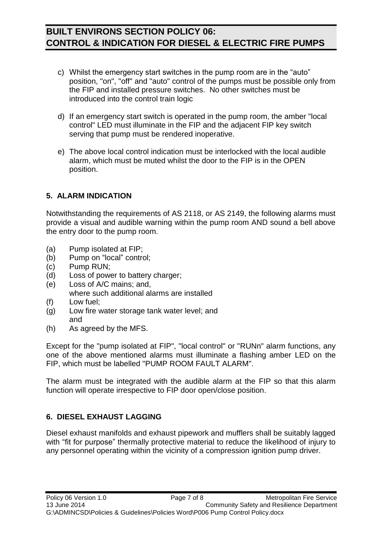- c) Whilst the emergency start switches in the pump room are in the "auto" position, "on", "off" and "auto" control of the pumps must be possible only from the FIP and installed pressure switches. No other switches must be introduced into the control train logic
- d) If an emergency start switch is operated in the pump room, the amber "local control" LED must illuminate in the FIP and the adjacent FIP key switch serving that pump must be rendered inoperative.
- e) The above local control indication must be interlocked with the local audible alarm, which must be muted whilst the door to the FIP is in the OPEN position.

#### <span id="page-6-0"></span>**5. ALARM INDICATION**

Notwithstanding the requirements of AS 2118, or AS 2149, the following alarms must provide a visual and audible warning within the pump room AND sound a bell above the entry door to the pump room.

- (a) Pump isolated at FIP;
- (b) Pump on "local" control;
- (c) Pump RUN;
- (d) Loss of power to battery charger;
- (e) Loss of A/C mains; and, where such additional alarms are installed
- (f) Low fuel;
- (g) Low fire water storage tank water level; and and
- (h) As agreed by the MFS.

Except for the "pump isolated at FIP", "local control" or "RUNn" alarm functions, any one of the above mentioned alarms must illuminate a flashing amber LED on the FIP, which must be labelled "PUMP ROOM FAULT ALARM".

The alarm must be integrated with the audible alarm at the FIP so that this alarm function will operate irrespective to FIP door open/close position.

#### <span id="page-6-1"></span>**6. DIESEL EXHAUST LAGGING**

Diesel exhaust manifolds and exhaust pipework and mufflers shall be suitably lagged with "fit for purpose" thermally protective material to reduce the likelihood of injury to any personnel operating within the vicinity of a compression ignition pump driver.